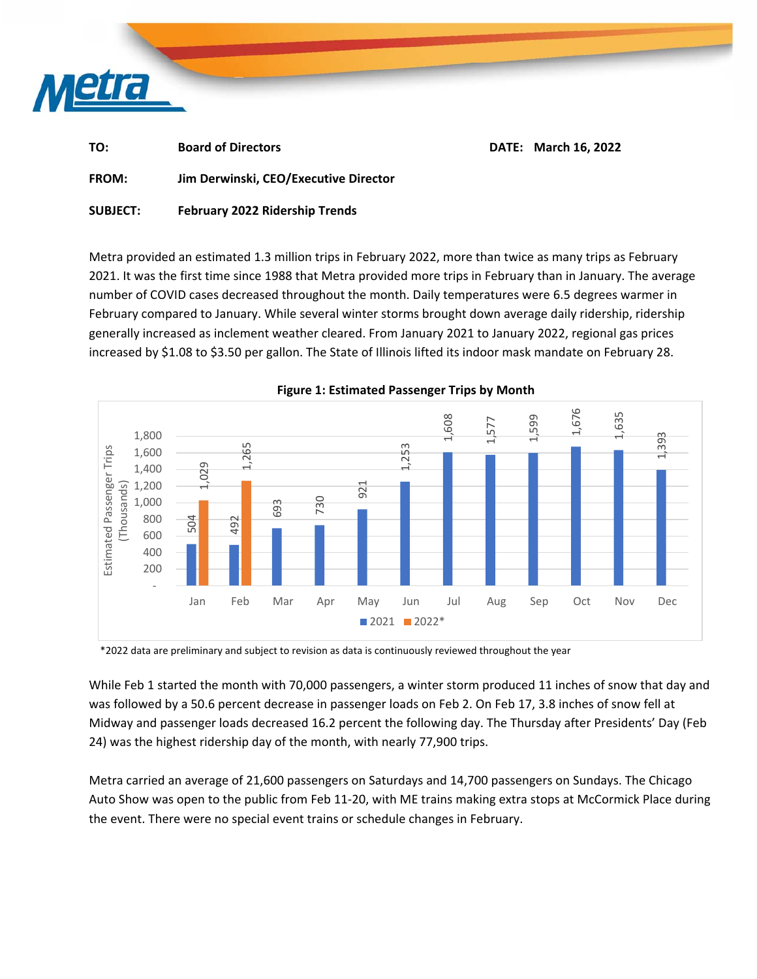

| TO:          | <b>Board of Directors</b>             | <b>DATE: March 16, 2022</b> |
|--------------|---------------------------------------|-----------------------------|
| <b>FROM:</b> | Jim Derwinski, CEO/Executive Director |                             |

**SUBJECT: February 2022 Ridership Trends** 

Metra provided an estimated 1.3 million trips in February 2022, more than twice as many trips as February 2021. It was the first time since 1988 that Metra provided more trips in February than in January. The average number of COVID cases decreased throughout the month. Daily temperatures were 6.5 degrees warmer in February compared to January. While several winter storms brought down average daily ridership, ridership generally increased as inclement weather cleared. From January 2021 to January 2022, regional gas prices increased by \$1.08 to \$3.50 per gallon. The State of Illinois lifted its indoor mask mandate on February 28.



**Figure 1: Estimated Passenger Trips by Month** 

\*2022 data are preliminary and subject to revision as data is continuously reviewed throughout the year

While Feb 1 started the month with 70,000 passengers, a winter storm produced 11 inches of snow that day and was followed by a 50.6 percent decrease in passenger loads on Feb 2. On Feb 17, 3.8 inches of snow fell at Midway and passenger loads decreased 16.2 percent the following day. The Thursday after Presidents' Day (Feb 24) was the highest ridership day of the month, with nearly 77,900 trips.

Metra carried an average of 21,600 passengers on Saturdays and 14,700 passengers on Sundays. The Chicago Auto Show was open to the public from Feb 11-20, with ME trains making extra stops at McCormick Place during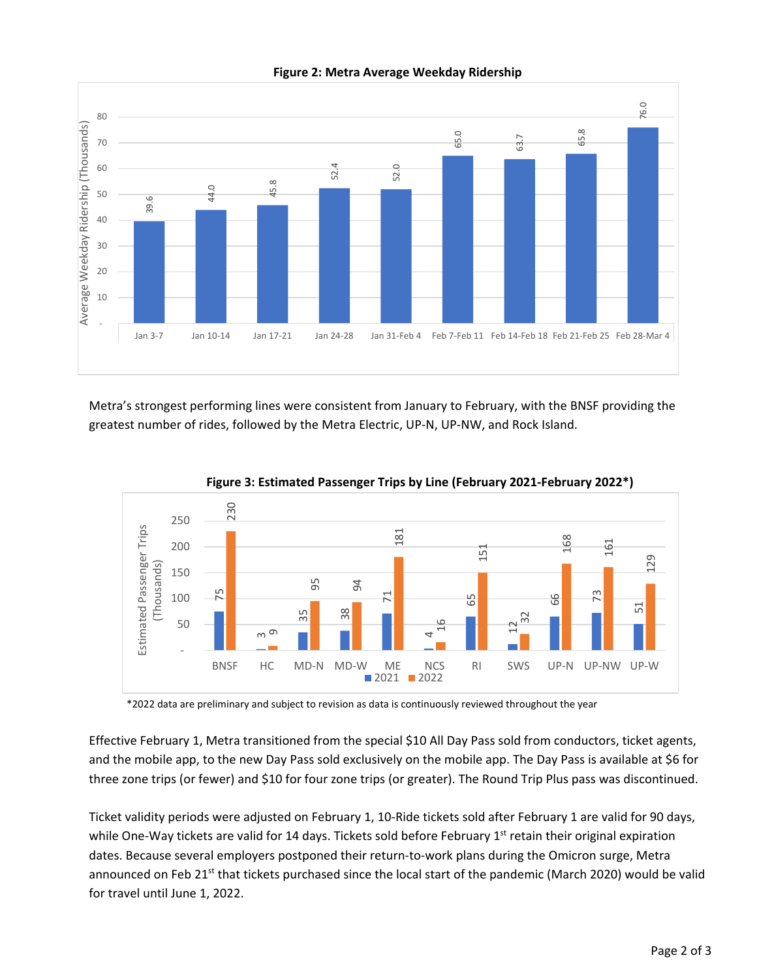

**Figure 2: Metra Average Weekday Ridership** 

Metra's strongest performing lines were consistent from January to February, with the BNSF providing the greatest number of rides, followed by the Metra Electric, UP-N, UP-NW, and Rock Island.





\*2022 data are preliminary and subject to revision as data is continuously reviewed throughout the year

Effective February 1, Metra transitioned from the special \$10 All Day Pass sold from conductors, ticket agents, and the mobile app, to the new Day Pass sold exclusively on the mobile app. The Day Pass is available at \$6 for three zone trips (or fewer) and \$10 for four zone trips (or greater). The Round Trip Plus pass was discontinued.

Ticket validity periods were adjusted on February 1, 10-Ride tickets sold after February 1 are valid for 90 days, while One-Way tickets are valid for 14 days. Tickets sold before February 1<sup>st</sup> retain their original expiration dates. Because several employers postponed their return-to-work plans during the Omicron surge, Metra announced on Feb 21<sup>st</sup> that tickets purchased since the local start of the pandemic (March 2020) would be valid